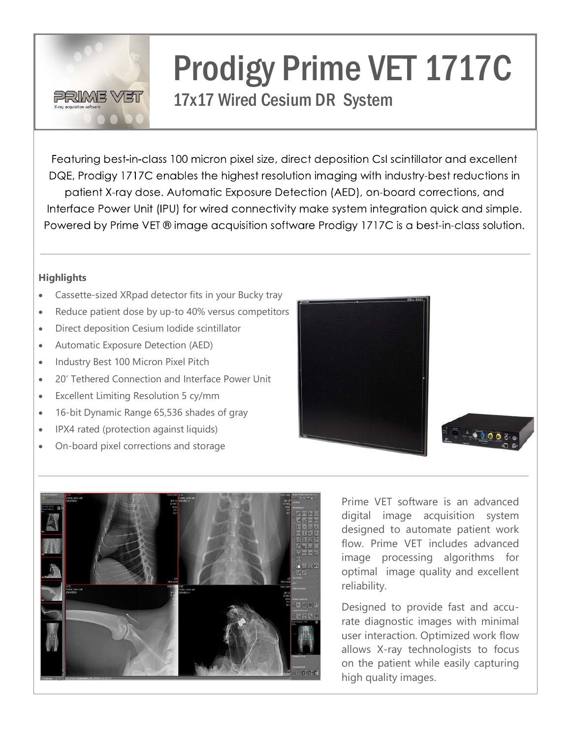

# Prodigy Prime VET 1717C

## 17x17 Wired Cesium DR System

Featuring best-in-class 100 micron pixel size, direct deposition CsI scintillator and excellent DQE, Prodigy 1717C enables the highest resolution imaging with industry-best reductions in patient X-ray dose. Automatic Exposure Detection (AED), on-board corrections, and Interface Power Unit (IPU) for wired connectivity make system integration quick and simple. Powered by Prime VET ® image acquisition software Prodigy 1717C is a best-in-class solution.

#### **Highlights**

- Cassette-sized XRpad detector fits in your Bucky tray
- Reduce patient dose by up-to 40% versus competitors
- Direct deposition Cesium Iodide scintillator
- Automatic Exposure Detection (AED)
- Industry Best 100 Micron Pixel Pitch
- 20' Tethered Connection and Interface Power Unit
- Excellent Limiting Resolution 5 cy/mm
- 16-bit Dynamic Range 65,536 shades of gray
- IPX4 rated (protection against liquids)
- On-board pixel corrections and storage





Prime VET software is an advanced digital image acquisition system designed to automate patient work flow. Prime VET includes advanced image processing algorithms for optimal image quality and excellent reliability.

Designed to provide fast and accurate diagnostic images with minimal user interaction. Optimized work flow allows X-ray technologists to focus on the patient while easily capturing high quality images.